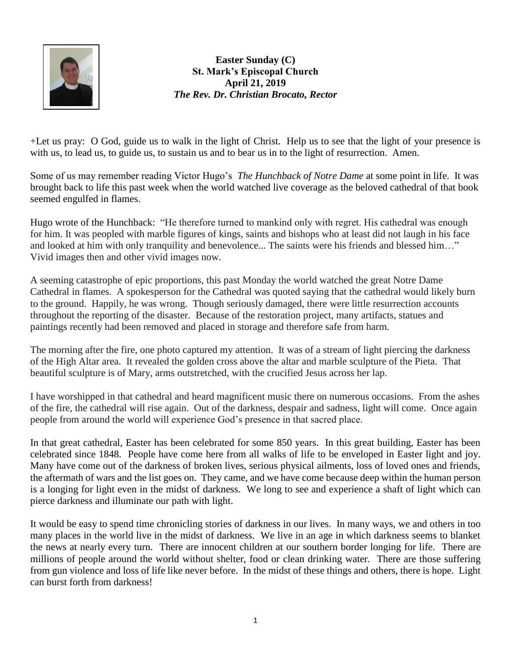

**Easter Sunday (C) St. Mark's Episcopal Church April 21, 2019** *The Rev. Dr. Christian Brocato, Rector*

+Let us pray: O God, guide us to walk in the light of Christ. Help us to see that the light of your presence is with us, to lead us, to guide us, to sustain us and to bear us in to the light of resurrection. Amen.

Some of us may remember reading Victor Hugo's *The Hunchback of Notre Dame* at some point in life. It was brought back to life this past week when the world watched live coverage as the beloved cathedral of that book seemed engulfed in flames.

Hugo wrote of the Hunchback: "He therefore turned to mankind only with regret. His cathedral was enough for him. It was peopled with marble figures of kings, saints and bishops who at least did not laugh in his face and looked at him with only tranquility and benevolence... The saints were his friends and blessed him…" Vivid images then and other vivid images now.

A seeming catastrophe of epic proportions, this past Monday the world watched the great Notre Dame Cathedral in flames. A spokesperson for the Cathedral was quoted saying that the cathedral would likely burn to the ground. Happily, he was wrong. Though seriously damaged, there were little resurrection accounts throughout the reporting of the disaster. Because of the restoration project, many artifacts, statues and paintings recently had been removed and placed in storage and therefore safe from harm.

The morning after the fire, one photo captured my attention. It was of a stream of light piercing the darkness of the High Altar area. It revealed the golden cross above the altar and marble sculpture of the Pieta. That beautiful sculpture is of Mary, arms outstretched, with the crucified Jesus across her lap.

I have worshipped in that cathedral and heard magnificent music there on numerous occasions. From the ashes of the fire, the cathedral will rise again. Out of the darkness, despair and sadness, light will come. Once again people from around the world will experience God's presence in that sacred place.

In that great cathedral, Easter has been celebrated for some 850 years. In this great building, Easter has been celebrated since 1848. People have come here from all walks of life to be enveloped in Easter light and joy. Many have come out of the darkness of broken lives, serious physical ailments, loss of loved ones and friends, the aftermath of wars and the list goes on. They came, and we have come because deep within the human person is a longing for light even in the midst of darkness. We long to see and experience a shaft of light which can pierce darkness and illuminate our path with light.

It would be easy to spend time chronicling stories of darkness in our lives. In many ways, we and others in too many places in the world live in the midst of darkness. We live in an age in which darkness seems to blanket the news at nearly every turn. There are innocent children at our southern border longing for life. There are millions of people around the world without shelter, food or clean drinking water. There are those suffering from gun violence and loss of life like never before. In the midst of these things and others, there is hope. Light can burst forth from darkness!